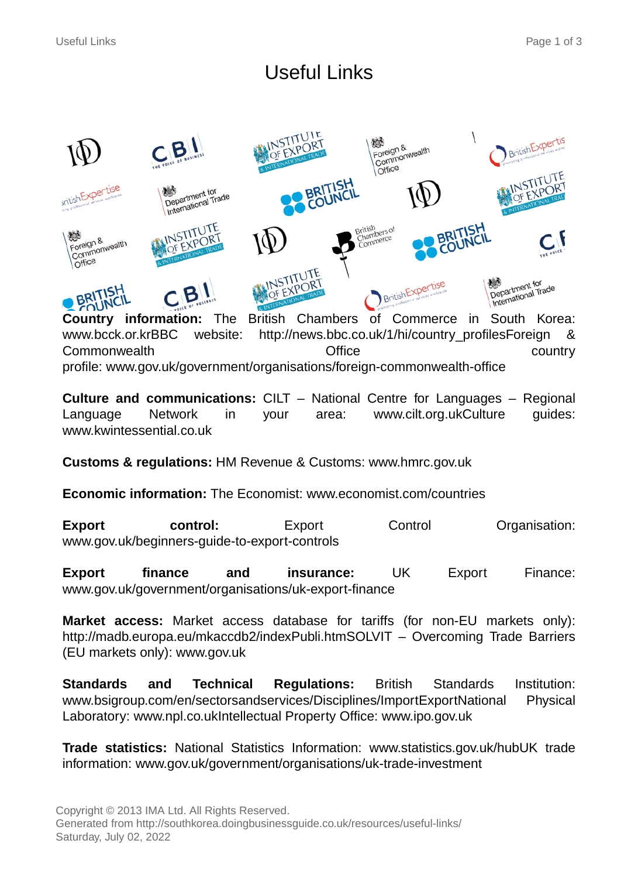# Useful Links



**Country information:** The British Chambers of Commerce in South Korea: www.bcck.or.krBBC website: http://news.bbc.co.uk/1/hi/country\_profilesForeign & Commonwealth Office country profile: www.gov.uk/government/organisations/foreign-commonwealth-office

**Culture and communications:** CILT – National Centre for Languages – Regional Language Network in your area: www.cilt.org.ukCulture guides: www.kwintessential.co.uk

**Customs & regulations:** HM Revenue & Customs: www.hmrc.gov.uk

**Economic information:** The Economist: www.economist.com/countries

**Export control:** Export Control Organisation: www.gov.uk/beginners-guide-to-export-controls

**Export finance and insurance:** UK Export Finance: www.gov.uk/government/organisations/uk-export-finance

**Market access:** Market access database for tariffs (for non-EU markets only): http://madb.europa.eu/mkaccdb2/indexPubli.htmSOLVIT – Overcoming Trade Barriers (EU markets only): www.gov.uk

**Standards and Technical Regulations:** British Standards Institution: www.bsigroup.com/en/sectorsandservices/Disciplines/ImportExportNational Physical Laboratory: www.npl.co.ukIntellectual Property Office: www.ipo.gov.uk

**Trade statistics:** National Statistics Information: www.statistics.gov.uk/hubUK trade information: www.gov.uk/government/organisations/uk-trade-investment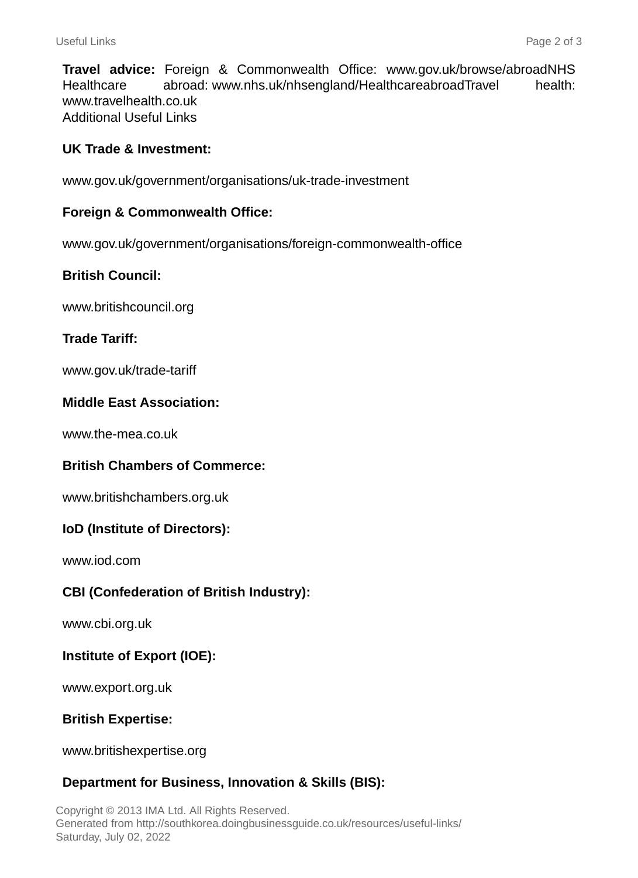**Travel advice:** Foreign & Commonwealth Office: www.gov.uk/browse/abroadNHS Healthcare abroad: www.nhs.uk/nhsengland/HealthcareabroadTravel health: www.travelhealth.co.uk Additional Useful Links

## **UK Trade & Investment:**

www.gov.uk/government/organisations/uk-trade-investment

#### **Foreign & Commonwealth Office:**

www.gov.uk/government/organisations/foreign-commonwealth-office

## **British Council:**

www.britishcouncil.org

## **Trade Tariff:**

www.gov.uk/trade-tariff

#### **Middle East Association:**

www.the-mea.co.uk

# **British Chambers of Commerce:**

www.britishchambers.org.uk

#### **IoD (Institute of Directors):**

www.iod.com

# **CBI (Confederation of British Industry):**

www.cbi.org.uk

# **Institute of Export (IOE):**

www.export.org.uk

#### **British Expertise:**

www.britishexpertise.org

# **Department for Business, Innovation & Skills (BIS):**

Copyright © 2013 IMA Ltd. All Rights Reserved. Generated from http://southkorea.doingbusinessguide.co.uk/resources/useful-links/ Saturday, July 02, 2022